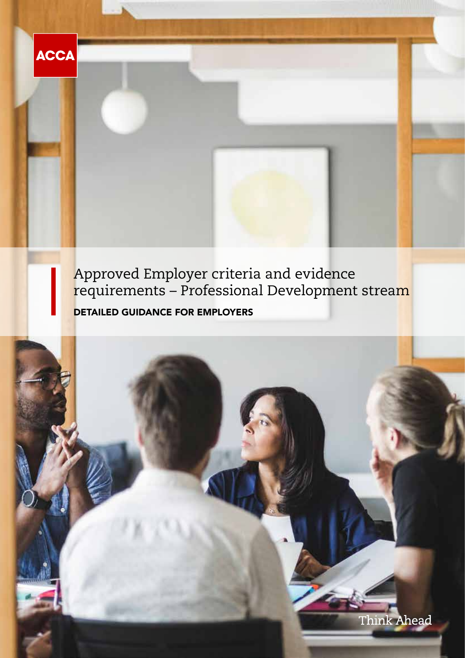

**ACCA** 

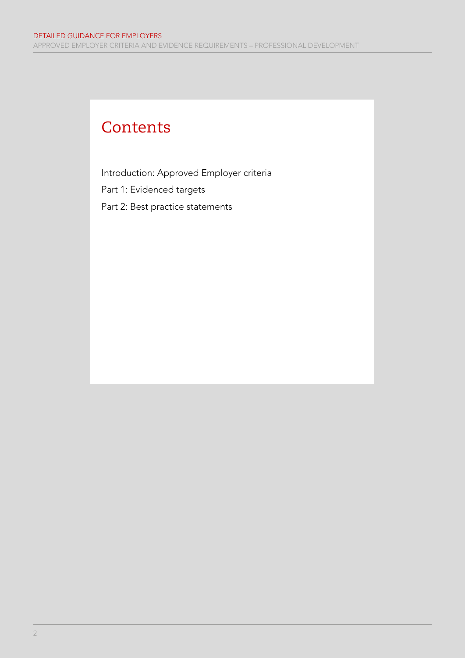#### **Contents**

Introduction: Approved Employer criteria Part 1: Evidenced targets Part 2: Best practice statements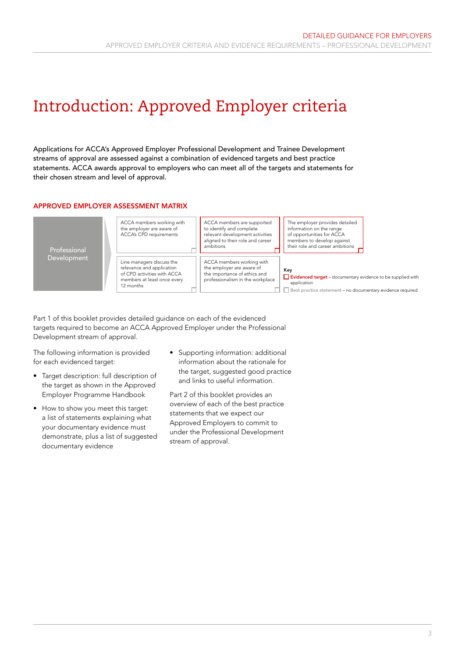### Introduction: Approved Employer criteria

Applications for ACCA's Approved Employer Professional Development and Trainee Development streams of approval are assessed against a combination of evidenced targets and best practice statements. ACCA awards approval to employers who can meet all of the targets and statements for their chosen stream and level of approval.

#### APPROVED EMPLOYER ASSESSMENT MATRIX



Part 1 of this booklet provides detailed guidance on each of the evidenced targets required to become an ACCA Approved Employer under the Professional Development stream of approval.

The following information is provided for each evidenced target:

- Target description: full description of the target as shown in the Approved Employer Programme Handbook
- How to show you meet this target: a list of statements explaining what your documentary evidence must demonstrate, plus a list of suggested documentary evidence
- Supporting information: additional information about the rationale for the target, suggested good practice and links to useful information.

Part 2 of this booklet provides an overview of each of the best practice statements that we expect our Approved Employers to commit to under the Professional Development stream of approval.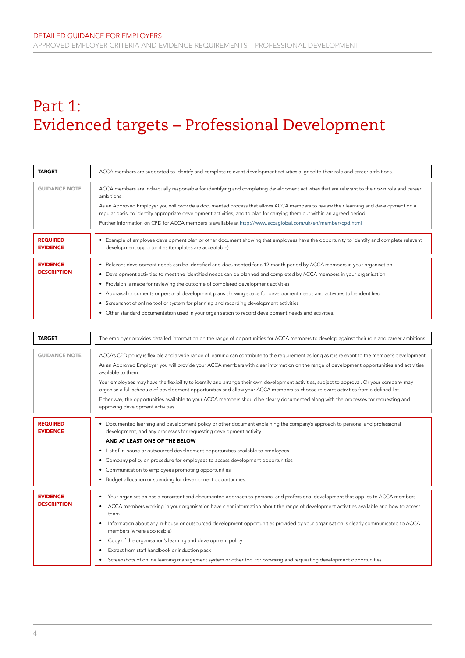## Part 1: Evidenced targets – Professional Development

| <b>TARGET</b>                      | ACCA members are supported to identify and complete relevant development activities aligned to their role and career ambitions.                                                                                                                                   |
|------------------------------------|-------------------------------------------------------------------------------------------------------------------------------------------------------------------------------------------------------------------------------------------------------------------|
|                                    |                                                                                                                                                                                                                                                                   |
| <b>GUIDANCE NOTE</b>               | ACCA members are individually responsible for identifying and completing development activities that are relevant to their own role and career<br>ambitions.                                                                                                      |
|                                    | As an Approved Employer you will provide a documented process that allows ACCA members to review their learning and development on a<br>reqular basis, to identify appropriate development activities, and to plan for carrying them out within an agreed period. |
|                                    | Further information on CPD for ACCA members is available at http://www.accaglobal.com/uk/en/member/cpd.html                                                                                                                                                       |
|                                    |                                                                                                                                                                                                                                                                   |
| <b>REQUIRED</b><br><b>EVIDENCE</b> | • Example of employee development plan or other document showing that employees have the opportunity to identify and complete relevant<br>development opportunities (templates are acceptable)                                                                    |
|                                    |                                                                                                                                                                                                                                                                   |
| <b>EVIDENCE</b>                    | Relevant development needs can be identified and documented for a 12-month period by ACCA members in your organisation<br>٠                                                                                                                                       |
| <b>DESCRIPTION</b>                 | Development activities to meet the identified needs can be planned and completed by ACCA members in your organisation                                                                                                                                             |
|                                    | • Provision is made for reviewing the outcome of completed development activities                                                                                                                                                                                 |
|                                    | • Appraisal documents or personal development plans showing space for development needs and activities to be identified                                                                                                                                           |
|                                    | Screenshot of online tool or system for planning and recording development activities<br>$\bullet$                                                                                                                                                                |
|                                    | Other standard documentation used in your organisation to record development needs and activities.                                                                                                                                                                |

| <b>TARGET</b>                         | The employer provides detailed information on the range of opportunities for ACCA members to develop against their role and career ambitions.                                                                                                                                                                                                                                                                                                                                                                                                                                                                                                                                                                                                                                               |
|---------------------------------------|---------------------------------------------------------------------------------------------------------------------------------------------------------------------------------------------------------------------------------------------------------------------------------------------------------------------------------------------------------------------------------------------------------------------------------------------------------------------------------------------------------------------------------------------------------------------------------------------------------------------------------------------------------------------------------------------------------------------------------------------------------------------------------------------|
| <b>GUIDANCE NOTE</b>                  | ACCA's CPD policy is flexible and a wide range of learning can contribute to the requirement as long as it is relevant to the member's development.<br>As an Approved Employer you will provide your ACCA members with clear information on the range of development opportunities and activities<br>available to them.<br>Your employees may have the flexibility to identify and arrange their own development activities, subject to approval. Or your company may<br>organise a full schedule of development opportunities and allow your ACCA members to choose relevant activities from a defined list.<br>Either way, the opportunities available to your ACCA members should be clearly documented along with the processes for requesting and<br>approving development activities. |
| <b>REQUIRED</b><br><b>EVIDENCE</b>    | • Documented learning and development policy or other document explaining the company's approach to personal and professional<br>development, and any processes for requesting development activity<br>AND AT LEAST ONE OF THE BELOW<br>• List of in-house or outsourced development opportunities available to employees<br>• Company policy on procedure for employees to access development opportunities<br>• Communication to employees promoting opportunities<br>• Budget allocation or spending for development opportunities.                                                                                                                                                                                                                                                      |
| <b>EVIDENCE</b><br><b>DESCRIPTION</b> | Your organisation has a consistent and documented approach to personal and professional development that applies to ACCA members<br>$\bullet$<br>ACCA members working in your organisation have clear information about the range of development activities available and how to access<br>them<br>Information about any in-house or outsourced development opportunities provided by your organisation is clearly communicated to ACCA<br>members (where applicable)<br>Copy of the organisation's learning and development policy<br>Extract from staff handbook or induction pack<br>$\bullet$<br>Screenshots of online learning management system or other tool for browsing and requesting development opportunities.<br>$\bullet$                                                     |

 $\mathbf{H}$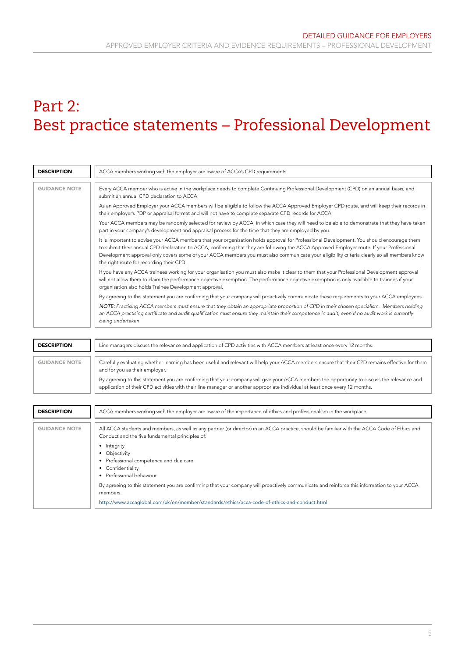### Part 2: Best practice statements – Professional Development

| <b>DESCRIPTION</b>   | ACCA members working with the employer are aware of ACCA's CPD requirements                                                                                                                                                                                                                                                                                                                                                                                                      |
|----------------------|----------------------------------------------------------------------------------------------------------------------------------------------------------------------------------------------------------------------------------------------------------------------------------------------------------------------------------------------------------------------------------------------------------------------------------------------------------------------------------|
| <b>GUIDANCE NOTE</b> | Every ACCA member who is active in the workplace needs to complete Continuing Professional Development (CPD) on an annual basis, and<br>submit an annual CPD declaration to ACCA.                                                                                                                                                                                                                                                                                                |
|                      | As an Approved Employer your ACCA members will be eligible to follow the ACCA Approved Employer CPD route, and will keep their records in<br>their employer's PDP or appraisal format and will not have to complete separate CPD records for ACCA.                                                                                                                                                                                                                               |
|                      | Your ACCA members may be randomly selected for review by ACCA, in which case they will need to be able to demonstrate that they have taken<br>part in your company's development and appraisal process for the time that they are employed by you.                                                                                                                                                                                                                               |
|                      | It is important to advise your ACCA members that your organisation holds approval for Professional Development. You should encourage them<br>to submit their annual CPD declaration to ACCA, confirming that they are following the ACCA Approved Employer route. If your Professional<br>Development approval only covers some of your ACCA members you must also communicate your eligibility criteria clearly so all members know<br>the right route for recording their CPD. |
|                      | If you have any ACCA trainees working for your organisation you must also make it clear to them that your Professional Development approval<br>will not allow them to claim the performance objective exemption. The performance objective exemption is only available to trainees if your<br>organisation also holds Trainee Development approval.                                                                                                                              |
|                      | By agreeing to this statement you are confirming that your company will proactively communicate these requirements to your ACCA employees.                                                                                                                                                                                                                                                                                                                                       |
|                      | NOTE: Practising ACCA members must ensure that they obtain an appropriate proportion of CPD in their chosen specialism. Members holding<br>an ACCA practising certificate and audit qualification must ensure they maintain their competence in audit, even if no audit work is currently<br>being undertaken.                                                                                                                                                                   |

| <b>DESCRIPTION</b>   | Line managers discuss the relevance and application of CPD activities with ACCA members at least once every 12 months.                                                                                                                                                      |
|----------------------|-----------------------------------------------------------------------------------------------------------------------------------------------------------------------------------------------------------------------------------------------------------------------------|
| <b>GUIDANCE NOTE</b> | Carefully evaluating whether learning has been useful and relevant will help your ACCA members ensure that their CPD remains effective for them<br>and for you as their employer.                                                                                           |
|                      | By agreeing to this statement you are confirming that your company will give your ACCA members the opportunity to discuss the relevance and<br>application of their CPD activities with their line manager or another appropriate individual at least once every 12 months. |

| ACCA members working with the employer are aware of the importance of ethics and professionalism in the workplace<br><b>DESCRIPTION</b><br><b>GUIDANCE NOTE</b><br>All ACCA students and members, as well as any partner (or director) in an ACCA practice, should be familiar with the ACCA Code of Ethics and |
|-----------------------------------------------------------------------------------------------------------------------------------------------------------------------------------------------------------------------------------------------------------------------------------------------------------------|
|                                                                                                                                                                                                                                                                                                                 |
|                                                                                                                                                                                                                                                                                                                 |
| Conduct and the five fundamental principles of:                                                                                                                                                                                                                                                                 |
| • Integrity                                                                                                                                                                                                                                                                                                     |
|                                                                                                                                                                                                                                                                                                                 |
| • Objectivity                                                                                                                                                                                                                                                                                                   |
| • Professional competence and due care                                                                                                                                                                                                                                                                          |
| • Confidentiality                                                                                                                                                                                                                                                                                               |
| • Professional behaviour                                                                                                                                                                                                                                                                                        |
|                                                                                                                                                                                                                                                                                                                 |
| By agreeing to this statement you are confirming that your company will proactively communicate and reinforce this information to your ACCA<br>members.                                                                                                                                                         |
| http://www.accaqlobal.com/uk/en/member/standards/ethics/acca-code-of-ethics-and-conduct.html                                                                                                                                                                                                                    |